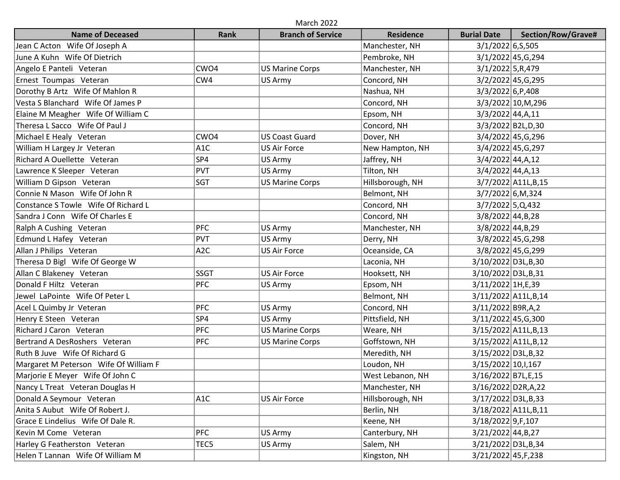| <b>March 2022</b>                     |                  |                          |                  |                       |                       |  |  |  |  |
|---------------------------------------|------------------|--------------------------|------------------|-----------------------|-----------------------|--|--|--|--|
| <b>Name of Deceased</b>               | Rank             | <b>Branch of Service</b> | <b>Residence</b> | <b>Burial Date</b>    | Section/Row/Grave#    |  |  |  |  |
| Jean C Acton Wife Of Joseph A         |                  |                          | Manchester, NH   | 3/1/2022 6,5,505      |                       |  |  |  |  |
| June A Kuhn Wife Of Dietrich          |                  |                          | Pembroke, NH     |                       | 3/1/2022 45, G, 294   |  |  |  |  |
| Angelo E Panteli Veteran              | CWO4             | <b>US Marine Corps</b>   | Manchester, NH   | $3/1/2022$ 5, R, 479  |                       |  |  |  |  |
| Ernest Toumpas Veteran                | CW4              | US Army                  | Concord, NH      |                       | 3/2/2022 45, G, 295   |  |  |  |  |
| Dorothy B Artz Wife Of Mahlon R       |                  |                          | Nashua, NH       | 3/3/2022 6, P, 408    |                       |  |  |  |  |
| Vesta S Blanchard Wife Of James P     |                  |                          | Concord, NH      |                       | 3/3/2022 10, M, 296   |  |  |  |  |
| Elaine M Meagher Wife Of William C    |                  |                          | Epsom, NH        | $3/3/2022$ 44, A, 11  |                       |  |  |  |  |
| Theresa L Sacco Wife Of Paul J        |                  |                          | Concord, NH      |                       | 3/3/2022 B2L, D, 30   |  |  |  |  |
| Michael E Healy Veteran               | CWO <sub>4</sub> | <b>US Coast Guard</b>    | Dover, NH        |                       | 3/4/2022 45, G, 296   |  |  |  |  |
| William H Largey Jr Veteran           | A <sub>1</sub> C | <b>US Air Force</b>      | New Hampton, NH  |                       | 3/4/2022 45, G, 297   |  |  |  |  |
| Richard A Ouellette Veteran           | SP4              | US Army                  | Jaffrey, NH      | $3/4/2022$ 44, A, 12  |                       |  |  |  |  |
| Lawrence K Sleeper Veteran            | PVT              | US Army                  | Tilton, NH       | $3/4/2022$ 44, A, 13  |                       |  |  |  |  |
| William D Gipson Veteran              | <b>SGT</b>       | <b>US Marine Corps</b>   | Hillsborough, NH |                       | 3/7/2022 A11L, B, 15  |  |  |  |  |
| Connie N Mason Wife Of John R         |                  |                          | Belmont, NH      | 3/7/2022 6,M,324      |                       |  |  |  |  |
| Constance S Towle Wife Of Richard L   |                  |                          | Concord, NH      | $3/7/2022$ 5, Q, 432  |                       |  |  |  |  |
| Sandra J Conn Wife Of Charles E       |                  |                          | Concord, NH      | $3/8/2022$ 44, B, 28  |                       |  |  |  |  |
| Ralph A Cushing Veteran               | <b>PFC</b>       | US Army                  | Manchester, NH   | $3/8/2022$ 44, B, 29  |                       |  |  |  |  |
| Edmund L Hafey Veteran                | PVT              | US Army                  | Derry, NH        |                       | 3/8/2022 45, G, 298   |  |  |  |  |
| Allan J Philips Veteran               | A <sub>2</sub> C | <b>US Air Force</b>      | Oceanside, CA    |                       | 3/8/2022 45, G, 299   |  |  |  |  |
| Theresa D Bigl Wife Of George W       |                  |                          | Laconia, NH      | 3/10/2022 D3L, B, 30  |                       |  |  |  |  |
| Allan C Blakeney Veteran              | <b>SSGT</b>      | <b>US Air Force</b>      | Hooksett, NH     | 3/10/2022 D3L, B, 31  |                       |  |  |  |  |
| Donald F Hiltz Veteran                | PFC              | US Army                  | Epsom, NH        | 3/11/2022 1H, E, 39   |                       |  |  |  |  |
| Jewel LaPointe Wife Of Peter L        |                  |                          | Belmont, NH      |                       | 3/11/2022 A11L, B, 14 |  |  |  |  |
| Acel L Quimby Jr Veteran              | PFC              | US Army                  | Concord, NH      | 3/11/2022 B9R,A,2     |                       |  |  |  |  |
| Henry E Steen Veteran                 | SP4              | US Army                  | Pittsfield, NH   | 3/11/2022 45, G, 300  |                       |  |  |  |  |
| Richard J Caron Veteran               | PFC              | <b>US Marine Corps</b>   | Weare, NH        |                       | 3/15/2022 A11L, B, 13 |  |  |  |  |
| Bertrand A DesRoshers Veteran         | <b>PFC</b>       | <b>US Marine Corps</b>   | Goffstown, NH    |                       | 3/15/2022 A11L, B, 12 |  |  |  |  |
| Ruth B Juve Wife Of Richard G         |                  |                          | Meredith, NH     | 3/15/2022 D3L, B, 32  |                       |  |  |  |  |
| Margaret M Peterson Wife Of William F |                  |                          | Loudon, NH       | 3/15/2022 10, 1, 167  |                       |  |  |  |  |
| Marjorie E Meyer Wife Of John C       |                  |                          | West Lebanon, NH | 3/16/2022 B7L, E, 15  |                       |  |  |  |  |
| Nancy L Treat Veteran Douglas H       |                  |                          | Manchester, NH   | 3/16/2022 D2R, A, 22  |                       |  |  |  |  |
| Donald A Seymour Veteran              | A <sub>1</sub> C | <b>US Air Force</b>      | Hillsborough, NH | 3/17/2022 D3L, B, 33  |                       |  |  |  |  |
| Anita S Aubut Wife Of Robert J.       |                  |                          | Berlin, NH       |                       | 3/18/2022 A11L, B, 11 |  |  |  |  |
| Grace E Lindelius Wife Of Dale R.     |                  |                          | Keene, NH        | 3/18/2022 9, F, 107   |                       |  |  |  |  |
| Kevin M Come Veteran                  | <b>PFC</b>       | US Army                  | Canterbury, NH   | $3/21/2022$ 44, B, 27 |                       |  |  |  |  |
| Harley G Featherston Veteran          | TEC5             | US Army                  | Salem, NH        | 3/21/2022 D3L, B, 34  |                       |  |  |  |  |
| Helen T Lannan Wife Of William M      |                  |                          | Kingston, NH     | 3/21/2022 45, F, 238  |                       |  |  |  |  |